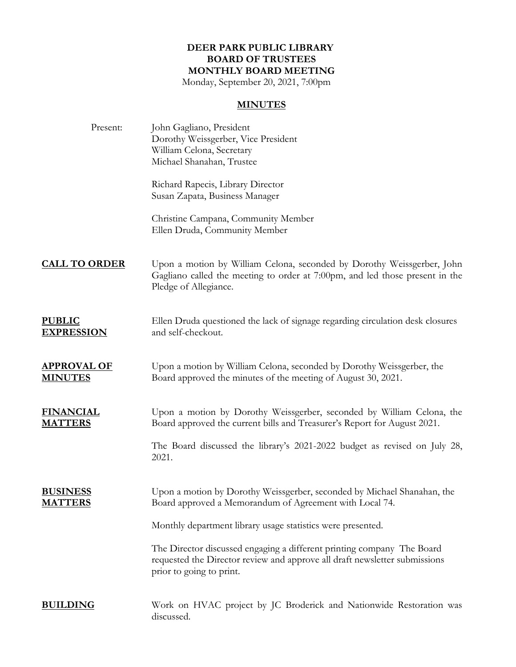## **DEER PARK PUBLIC LIBRARY BOARD OF TRUSTEES MONTHLY BOARD MEETING**

Monday, September 20, 2021, 7:00pm

## **MINUTES**

| Present:                             | John Gagliano, President<br>Dorothy Weissgerber, Vice President<br>William Celona, Secretary<br>Michael Shanahan, Trustee                                                        |
|--------------------------------------|----------------------------------------------------------------------------------------------------------------------------------------------------------------------------------|
|                                      | Richard Rapecis, Library Director<br>Susan Zapata, Business Manager                                                                                                              |
|                                      | Christine Campana, Community Member<br>Ellen Druda, Community Member                                                                                                             |
| <b>CALL TO ORDER</b>                 | Upon a motion by William Celona, seconded by Dorothy Weissgerber, John<br>Gagliano called the meeting to order at 7:00pm, and led those present in the<br>Pledge of Allegiance.  |
| <u>PUBLIC</u><br><b>EXPRESSION</b>   | Ellen Druda questioned the lack of signage regarding circulation desk closures<br>and self-checkout.                                                                             |
| <b>APPROVAL OF</b><br><u>MINUTES</u> | Upon a motion by William Celona, seconded by Dorothy Weissgerber, the<br>Board approved the minutes of the meeting of August 30, 2021.                                           |
| <u>FINANCIAL</u><br><u>MATTERS</u>   | Upon a motion by Dorothy Weissgerber, seconded by William Celona, the<br>Board approved the current bills and Treasurer's Report for August 2021.                                |
|                                      | The Board discussed the library's 2021-2022 budget as revised on July 28,<br>2021.                                                                                               |
| <u>BUSINESS</u><br><u>MATTERS</u>    | Upon a motion by Dorothy Weissgerber, seconded by Michael Shanahan, the<br>Board approved a Memorandum of Agreement with Local 74.                                               |
|                                      | Monthly department library usage statistics were presented.                                                                                                                      |
|                                      | The Director discussed engaging a different printing company The Board<br>requested the Director review and approve all draft newsletter submissions<br>prior to going to print. |
| <b>BUILDING</b>                      | Work on HVAC project by JC Broderick and Nationwide Restoration was<br>discussed.                                                                                                |